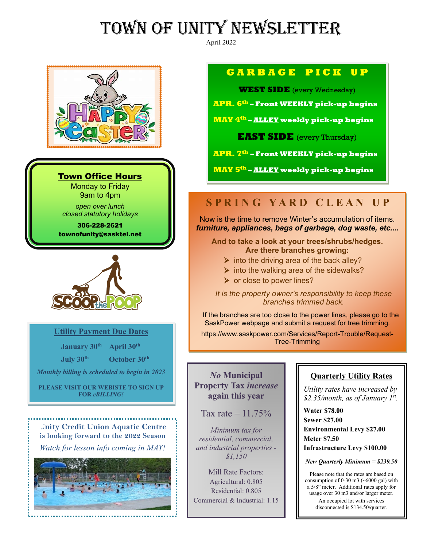# TOWN OF UNITY NEWSLETTER

April 2022



#### Town Office Hours

Monday to Friday 9am to 4pm

*open over lunch closed statutory holidays*

306-228-2621 townofunity@sasktel.net



#### **Utility Payment Due Dates**

 **January 30th April 30th July 30th October 30th** *Monthly billing is scheduled to begin in 2023*  **PLEASE VISIT OUR WEBISTE TO SIGN UP FOR** *eBILLING!*

**Unity Credit Union Aquatic Centre is looking forward to the 2022 Season** *Watch for lesson info coming in MAY!* 



### **G A R B A G E P I C K U P**

**WEST SIDE** (every Wednesday)

**APR. 6th – Front WEEKLY pick-up begins**

**MAY 4th – ALLEY weekly pick-up begins**

**EAST SIDE** (every Thursday)

**APR. 7th – Front WEEKLY pick-up begins**

**MAY 5th – ALLEY weekly pick-up begins**

# **S P R I N G Y A R D C L E A N U P**

Now is the time to remove Winter's accumulation of items. *furniture, appliances, bags of garbage, dog waste, etc....*

**And to take a look at your trees/shrubs/hedges. Are there branches growing:** 

- $\triangleright$  into the driving area of the back alley?
- $\triangleright$  into the walking area of the sidewalks?
- $\triangleright$  or close to power lines?

*It is the property owner's responsibility to keep these branches trimmed back.*

If the branches are too close to the power lines, please go to the SaskPower webpage and submit a request for tree trimming.

https://www.saskpower.com/Services/Report-Trouble/Request-Tree-Trimming

*No* **Municipal Property Tax** *increase* **again this year** 

Tax rate  $-11.75\%$ 

*Minimum tax for residential, commercial, and industrial properties - \$1,150* 

Mill Rate Factors: Agricultural: 0.805 Residential: 0.805 Commercial & Industrial: 1.15

### **Quarterly Utility Rates**

*Utility rates have increased by \$2.35/month, as of January 1st.* 

**Water \$78.00 Sewer \$27.00 Environmental Levy \$27.00 Meter \$7.50 Infrastructure Levy \$100.00**

*New Quarterly Minimum = \$239.50*

Please note that the rates are based on consumption of 0-30 m3 ( $\sim$ 6000 gal) with a 5/8" meter. Additional rates apply for usage over 30 m3 and/or larger meter. An occupied lot with services disconnected is \$134.50/quarter.